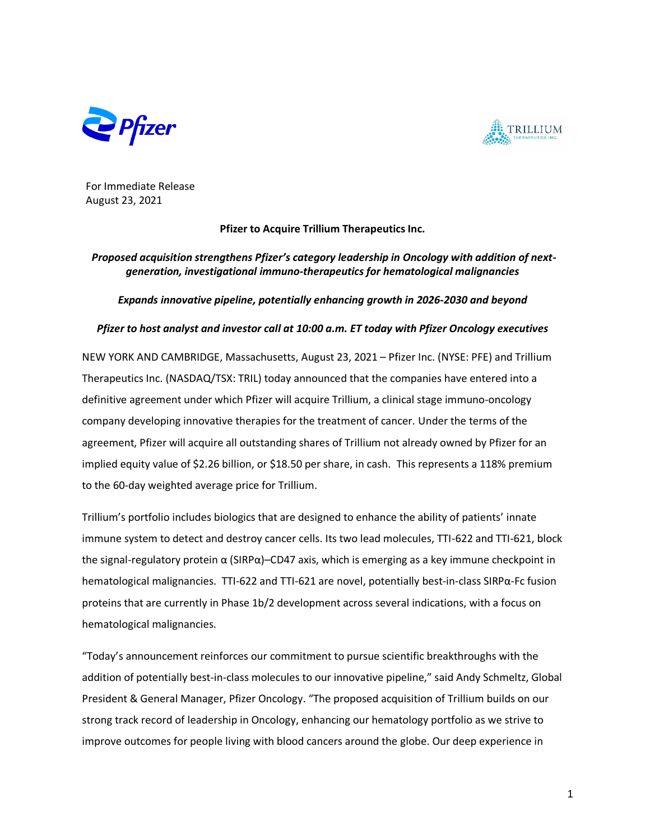



For Immediate Release August 23, 2021

**Pfizer to Acquire Trillium Therapeutics Inc.**

# *Proposed acquisition strengthens Pfizer's category leadership in Oncology with addition of nextgeneration, investigational immuno-therapeutics for hematological malignancies*

*Expands innovative pipeline, potentially enhancing growth in 2026-2030 and beyond*

# *Pfizer to host analyst and investor call at 10:00 a.m. ET today with Pfizer Oncology executives*

NEW YORK AND CAMBRIDGE, Massachusetts, August 23, 2021 – Pfizer Inc. (NYSE: PFE) and Trillium Therapeutics Inc. (NASDAQ/TSX: TRIL) today announced that the companies have entered into a definitive agreement under which Pfizer will acquire Trillium, a clinical stage immuno-oncology company developing innovative therapies for the treatment of cancer. Under the terms of the agreement, Pfizer will acquire all outstanding shares of Trillium not already owned by Pfizer for an implied equity value of \$2.26 billion, or \$18.50 per share, in cash. This represents a 118% premium to the 60-day weighted average price for Trillium.

Trillium's portfolio includes biologics that are designed to enhance the ability of patients' innate immune system to detect and destroy cancer cells. Its two lead molecules, TTI-622 and TTI-621, block the signal-regulatory protein α (SIRPα)–CD47 axis, which is emerging as a key immune checkpoint in hematological malignancies. TTI-622 and TTI-621 are novel, potentially best-in-class SIRPα-Fc fusion proteins that are currently in Phase 1b/2 development across several indications, with a focus on hematological malignancies.

"Today's announcement reinforces our commitment to pursue scientific breakthroughs with the addition of potentially best-in-class molecules to our innovative pipeline," said Andy Schmeltz, Global President & General Manager, Pfizer Oncology. "The proposed acquisition of Trillium builds on our strong track record of leadership in Oncology, enhancing our hematology portfolio as we strive to improve outcomes for people living with blood cancers around the globe. Our deep experience in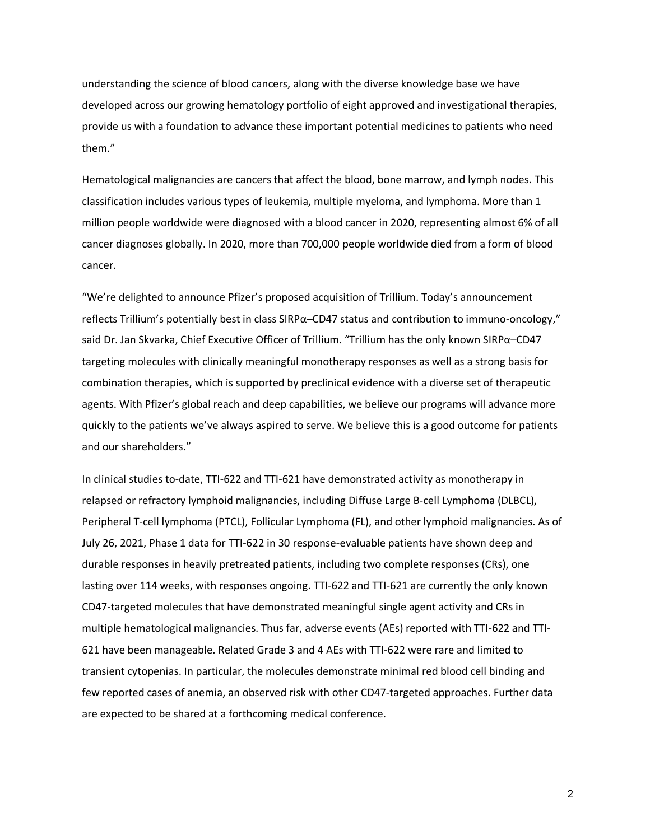understanding the science of blood cancers, along with the diverse knowledge base we have developed across our growing hematology portfolio of eight approved and investigational therapies, provide us with a foundation to advance these important potential medicines to patients who need them."

Hematological malignancies are cancers that affect the blood, bone marrow, and lymph nodes. This classification includes various types of leukemia, multiple myeloma, and lymphoma. More than 1 million people worldwide were diagnosed with a blood cancer in 2020, representing almost 6% of all cancer diagnoses globally. In 2020, more than 700,000 people worldwide died from a form of blood cancer.

"We're delighted to announce Pfizer's proposed acquisition of Trillium. Today's announcement reflects Trillium's potentially best in class SIRPα–CD47 status and contribution to immuno-oncology," said Dr. Jan Skvarka, Chief Executive Officer of Trillium. "Trillium has the only known SIRPα–CD47 targeting molecules with clinically meaningful monotherapy responses as well as a strong basis for combination therapies, which is supported by preclinical evidence with a diverse set of therapeutic agents. With Pfizer's global reach and deep capabilities, we believe our programs will advance more quickly to the patients we've always aspired to serve. We believe this is a good outcome for patients and our shareholders."

In clinical studies to-date, TTI-622 and TTI-621 have demonstrated activity as monotherapy in relapsed or refractory lymphoid malignancies, including Diffuse Large B-cell Lymphoma (DLBCL), Peripheral T-cell lymphoma (PTCL), Follicular Lymphoma (FL), and other lymphoid malignancies. As of July 26, 2021, Phase 1 data for TTI-622 in 30 response-evaluable patients have shown deep and durable responses in heavily pretreated patients, including two complete responses (CRs), one lasting over 114 weeks, with responses ongoing. TTI-622 and TTI-621 are currently the only known CD47-targeted molecules that have demonstrated meaningful single agent activity and CRs in multiple hematological malignancies. Thus far, adverse events (AEs) reported with TTI-622 and TTI-621 have been manageable. Related Grade 3 and 4 AEs with TTI-622 were rare and limited to transient cytopenias. In particular, the molecules demonstrate minimal red blood cell binding and few reported cases of anemia, an observed risk with other CD47-targeted approaches. Further data are expected to be shared at a forthcoming medical conference.

2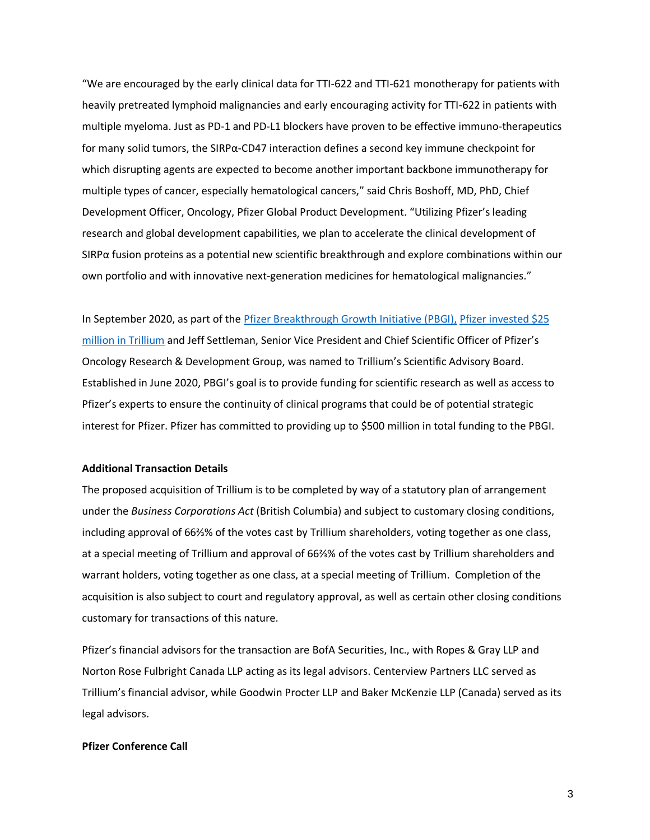"We are encouraged by the early clinical data for TTI-622 and TTI-621 monotherapy for patients with heavily pretreated lymphoid malignancies and early encouraging activity for TTI-622 in patients with multiple myeloma. Just as PD-1 and PD-L1 blockers have proven to be effective immuno-therapeutics for many solid tumors, the SIRPα-CD47 interaction defines a second key immune checkpoint for which disrupting agents are expected to become another important backbone immunotherapy for multiple types of cancer, especially hematological cancers," said Chris Boshoff, MD, PhD, Chief Development Officer, Oncology, Pfizer Global Product Development. "Utilizing Pfizer's leading research and global development capabilities, we plan to accelerate the clinical development of SIRPα fusion proteins as a potential new scientific breakthrough and explore combinations within our own portfolio and with innovative next-generation medicines for hematological malignancies."

In September 2020, as part of the Pfizer [Breakthrough Growth Initiative](https://www.pfizer.com/news/press-release/press-release-detail/pfizer-invests-120-million-biotechnology-innovation-through) (PBGI), Pfizer [invested \\$25](https://www.globenewswire.com/news-release/2020/09/08/2090474/0/en/Trillium-Therapeutics-Announces-25-Million-Equity-Investment-From-Pfizer-Inc.html)  [million in Trillium](https://www.globenewswire.com/news-release/2020/09/08/2090474/0/en/Trillium-Therapeutics-Announces-25-Million-Equity-Investment-From-Pfizer-Inc.html) and Jeff Settleman, Senior Vice President and Chief Scientific Officer of Pfizer's Oncology Research & Development Group, was named to Trillium's Scientific Advisory Board. Established in June 2020, PBGI's goal is to provide funding for scientific research as well as access to Pfizer's experts to ensure the continuity of clinical programs that could be of potential strategic interest for Pfizer. Pfizer has committed to providing up to \$500 million in total funding to the PBGI.

#### **Additional Transaction Details**

The proposed acquisition of Trillium is to be completed by way of a statutory plan of arrangement under the *Business Corporations Act* (British Columbia) and subject to customary closing conditions, including approval of 66⅔% of the votes cast by Trillium shareholders, voting together as one class, at a special meeting of Trillium and approval of 66⅔% of the votes cast by Trillium shareholders and warrant holders, voting together as one class, at a special meeting of Trillium. Completion of the acquisition is also subject to court and regulatory approval, as well as certain other closing conditions customary for transactions of this nature.

Pfizer's financial advisors for the transaction are BofA Securities, Inc., with Ropes & Gray LLP and Norton Rose Fulbright Canada LLP acting as its legal advisors. Centerview Partners LLC served as Trillium's financial advisor, while Goodwin Procter LLP and Baker McKenzie LLP (Canada) served as its legal advisors.

### **Pfizer Conference Call**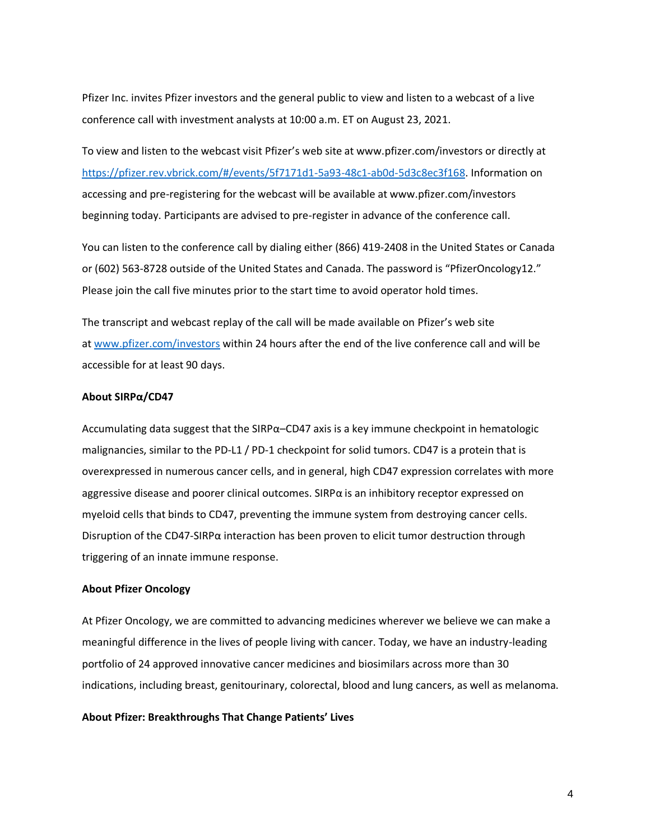Pfizer Inc. invites Pfizer investors and the general public to view and listen to a webcast of a live conference call with investment analysts at 10:00 a.m. ET on August 23, 2021.

To view and listen to the webcast visit Pfizer's web site at www.pfizer.com/investors or directly at [https://pfizer.rev.vbrick.com/#/events/5f7171d1-5a93-48c1-ab0d-5d3c8ec3f168.](https://pfizer.rev.vbrick.com/#/events/5f7171d1-5a93-48c1-ab0d-5d3c8ec3f168) Information on accessing and pre-registering for the webcast will be available at www.pfizer.com/investors beginning today. Participants are advised to pre-register in advance of the conference call.

You can listen to the conference call by dialing either (866) 419-2408 in the United States or Canada or (602) 563-8728 outside of the United States and Canada. The password is "PfizerOncology12." Please join the call five minutes prior to the start time to avoid operator hold times.

The transcript and webcast replay of the call will be made available on Pfizer's web site at [www.pfizer.com/investors](http://www.pfizer.com/investors) within 24 hours after the end of the live conference call and will be accessible for at least 90 days.

#### **About SIRPα/CD47**

Accumulating data suggest that the SIRP $\alpha$ –CD47 axis is a key immune checkpoint in hematologic malignancies, similar to the PD-L1 / PD-1 checkpoint for solid tumors. CD47 is a protein that is overexpressed in numerous cancer cells, and in general, high CD47 expression correlates with more aggressive disease and poorer clinical outcomes. SIRP $\alpha$  is an inhibitory receptor expressed on myeloid cells that binds to CD47, preventing the immune system from destroying cancer cells. Disruption of the CD47-SIRPα interaction has been proven to elicit tumor destruction through triggering of an innate immune response.

#### **About Pfizer Oncology**

At Pfizer Oncology, we are committed to advancing medicines wherever we believe we can make a meaningful difference in the lives of people living with cancer. Today, we have an industry-leading portfolio of 24 approved innovative cancer medicines and biosimilars across more than 30 indications, including breast, genitourinary, colorectal, blood and lung cancers, as well as melanoma.

#### **About Pfizer: Breakthroughs That Change Patients' Lives**

4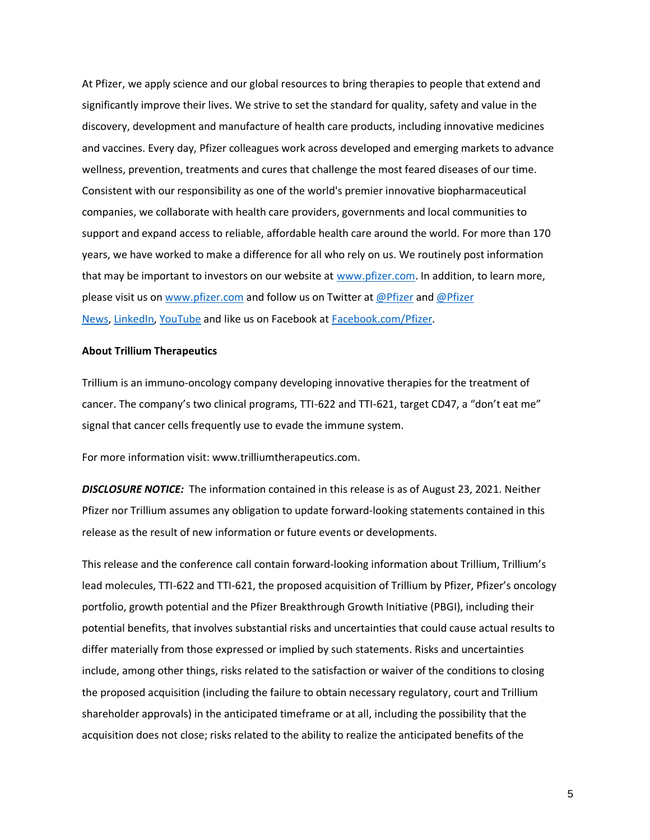At Pfizer, we apply science and our global resources to bring therapies to people that extend and significantly improve their lives. We strive to set the standard for quality, safety and value in the discovery, development and manufacture of health care products, including innovative medicines and vaccines. Every day, Pfizer colleagues work across developed and emerging markets to advance wellness, prevention, treatments and cures that challenge the most feared diseases of our time. Consistent with our responsibility as one of the world's premier innovative biopharmaceutical companies, we collaborate with health care providers, governments and local communities to support and expand access to reliable, affordable health care around the world. For more than 170 years, we have worked to make a difference for all who rely on us. We routinely post information that may be important to investors on our website at [www.pfizer.com.](http://www.pfizer.com/) In addition, to learn more, please visit us on [www.pfizer.com](http://www.pfizer.com/) and follow us on Twitter at [@Pfizer](https://cts.businesswire.com/ct/CT?id=smartlink&url=https%3A%2F%2Ftwitter.com%2Fpfizer_news&esheet=52405534&newsitemid=20210402005006&lan=en-US&anchor=%40Pfizer+News&index=7&md5=5ec1233507b4f6f643434c0b43edcb91) and @Pfizer [News,](https://cts.businesswire.com/ct/CT?id=smartlink&url=https%3A%2F%2Ftwitter.com%2Fpfizer_news&esheet=52405534&newsitemid=20210402005006&lan=en-US&anchor=%40Pfizer+News&index=7&md5=5ec1233507b4f6f643434c0b43edcb91) [LinkedIn,](https://cts.businesswire.com/ct/CT?id=smartlink&url=https%3A%2F%2Fwww.linkedin.com%2Fcompany%2Fpfizer&esheet=52405534&newsitemid=20210402005006&lan=en-US&anchor=LinkedIn&index=8&md5=f57936908a896e3f499ecca53e7a530b) [YouTube](https://cts.businesswire.com/ct/CT?id=smartlink&url=https%3A%2F%2Fwww.youtube.com%2Fpfizer&esheet=52405534&newsitemid=20210402005006&lan=en-US&anchor=YouTube&index=9&md5=439a30401842110f1d9d153cfb1d22f4) and like us on Facebook at [Facebook.com/Pfizer.](https://cts.businesswire.com/ct/CT?id=smartlink&url=https%3A%2F%2Fwww.facebook.com%2FPfizer%2F&esheet=52405534&newsitemid=20210402005006&lan=en-US&anchor=Facebook.com%2FPfizer&index=10&md5=c856ce0e4011f8642c7c2f50a7d2af41)

#### **About Trillium Therapeutics**

Trillium is an immuno-oncology company developing innovative therapies for the treatment of cancer. The company's two clinical programs, TTI-622 and TTI-621, target CD47, a "don't eat me" signal that cancer cells frequently use to evade the immune system.

For more information visit: [www.trilliumtherapeutics.com.](http://www.trilliumtherapeutics.com/)

*DISCLOSURE NOTICE:* The information contained in this release is as of August 23, 2021. Neither Pfizer nor Trillium assumes any obligation to update forward-looking statements contained in this release as the result of new information or future events or developments.

This release and the conference call contain forward-looking information about Trillium, Trillium's lead molecules, TTI-622 and TTI-621, the proposed acquisition of Trillium by Pfizer, Pfizer's oncology portfolio, growth potential and the Pfizer Breakthrough Growth Initiative (PBGI), including their potential benefits, that involves substantial risks and uncertainties that could cause actual results to differ materially from those expressed or implied by such statements. Risks and uncertainties include, among other things, risks related to the satisfaction or waiver of the conditions to closing the proposed acquisition (including the failure to obtain necessary regulatory, court and Trillium shareholder approvals) in the anticipated timeframe or at all, including the possibility that the acquisition does not close; risks related to the ability to realize the anticipated benefits of the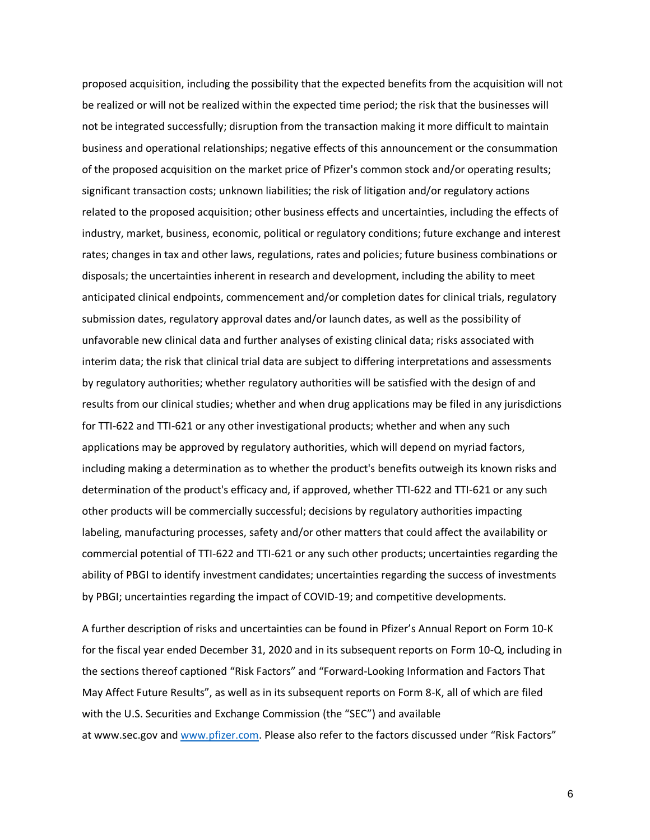proposed acquisition, including the possibility that the expected benefits from the acquisition will not be realized or will not be realized within the expected time period; the risk that the businesses will not be integrated successfully; disruption from the transaction making it more difficult to maintain business and operational relationships; negative effects of this announcement or the consummation of the proposed acquisition on the market price of Pfizer's common stock and/or operating results; significant transaction costs; unknown liabilities; the risk of litigation and/or regulatory actions related to the proposed acquisition; other business effects and uncertainties, including the effects of industry, market, business, economic, political or regulatory conditions; future exchange and interest rates; changes in tax and other laws, regulations, rates and policies; future business combinations or disposals; the uncertainties inherent in research and development, including the ability to meet anticipated clinical endpoints, commencement and/or completion dates for clinical trials, regulatory submission dates, regulatory approval dates and/or launch dates, as well as the possibility of unfavorable new clinical data and further analyses of existing clinical data; risks associated with interim data; the risk that clinical trial data are subject to differing interpretations and assessments by regulatory authorities; whether regulatory authorities will be satisfied with the design of and results from our clinical studies; whether and when drug applications may be filed in any jurisdictions for TTI-622 and TTI-621 or any other investigational products; whether and when any such applications may be approved by regulatory authorities, which will depend on myriad factors, including making a determination as to whether the product's benefits outweigh its known risks and determination of the product's efficacy and, if approved, whether TTI-622 and TTI-621 or any such other products will be commercially successful; decisions by regulatory authorities impacting labeling, manufacturing processes, safety and/or other matters that could affect the availability or commercial potential of TTI-622 and TTI-621 or any such other products; uncertainties regarding the ability of PBGI to identify investment candidates; uncertainties regarding the success of investments by PBGI; uncertainties regarding the impact of COVID-19; and competitive developments.

A further description of risks and uncertainties can be found in Pfizer's Annual Report on Form 10-K for the fiscal year ended December 31, 2020 and in its subsequent reports on Form 10-Q, including in the sections thereof captioned "Risk Factors" and "Forward-Looking Information and Factors That May Affect Future Results", as well as in its subsequent reports on Form 8-K, all of which are filed with the U.S. Securities and Exchange Commission (the "SEC") and available at [www.sec.gov](https://cts.businesswire.com/ct/CT?id=smartlink&url=http%3A%2F%2Fwww.sec.gov&esheet=52405299&newsitemid=20210401005365&lan=en-US&anchor=www.sec.gov&index=14&md5=466aea8bac2348f6434967d778006fce) and [www.pfizer.com.](http://www.pfizer.com/) Please also refer to the factors discussed under "Risk Factors"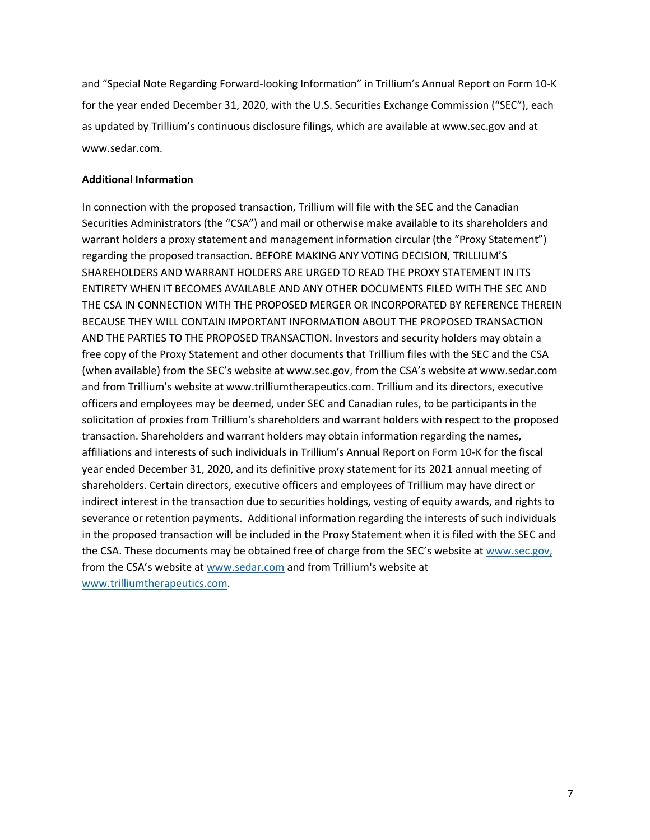and "Special Note Regarding Forward-looking Information" in Trillium's Annual Report on Form 10-K for the year ended December 31, 2020, with the U.S. Securities Exchange Commission ("SEC"), each as updated by Trillium's continuous disclosure filings, which are available at www.sec.gov and at www.sedar.com.

## **Additional Information**

In connection with the proposed transaction, Trillium will file with the SEC and the Canadian Securities Administrators (the "CSA") and mail or otherwise make available to its shareholders and warrant holders a proxy statement and management information circular (the "Proxy Statement") regarding the proposed transaction. BEFORE MAKING ANY VOTING DECISION, TRILLIUM'S SHAREHOLDERS AND WARRANT HOLDERS ARE URGED TO READ THE PROXY STATEMENT IN ITS ENTIRETY WHEN IT BECOMES AVAILABLE AND ANY OTHER DOCUMENTS FILED WITH THE SEC AND THE CSA IN CONNECTION WITH THE PROPOSED MERGER OR INCORPORATED BY REFERENCE THEREIN BECAUSE THEY WILL CONTAIN IMPORTANT INFORMATION ABOUT THE PROPOSED TRANSACTION AND THE PARTIES TO THE PROPOSED TRANSACTION. Investors and security holders may obtain a free copy of the Proxy Statement and other documents that Trillium files with the SEC and the CSA (when available) from the SEC's website at www.sec.gov, from the CSA's website at www.sedar.com and from Trillium's website at www.trilliumtherapeutics.com. Trillium and its directors, executive officers and employees may be deemed, under SEC and Canadian rules, to be participants in the solicitation of proxies from Trillium's shareholders and warrant holders with respect to the proposed transaction. Shareholders and warrant holders may obtain information regarding the names, affiliations and interests of such individuals in Trillium's Annual Report on Form 10-K for the fiscal year ended December 31, 2020, and its definitive proxy statement for its 2021 annual meeting of shareholders. Certain directors, executive officers and employees of Trillium may have direct or indirect interest in the transaction due to securities holdings, vesting of equity awards, and rights to severance or retention payments. Additional information regarding the interests of such individuals in the proposed transaction will be included in the Proxy Statement when it is filed with the SEC and the CSA. These documents may be obtained free of charge from the SEC's website at [www.sec.gov,](https://urldefense.com/v3/__http:/www.sec.gov__;!!H9nueQsQ!pz-kA_bdkRCYadReqssEzORWqWczhkWYOtEYlcsIE4apA12juGsRk_DzBEmNVpx6yw$) from the CSA's website at [www.sedar.com](https://urldefense.com/v3/__http:/www.sedar.com__;!!Hj9Y_P0nvg!B1NsZ3j92xez8u2X05FrRWefnEtLhXsu1XmmzPeA7FpVZlxST3ncn5WfXzBrMtIk8C67fHOKbg$) and from Trillium's website at [www.trilliumtherapeutics.com.](http://www.trilliumtherapeutics.com/)